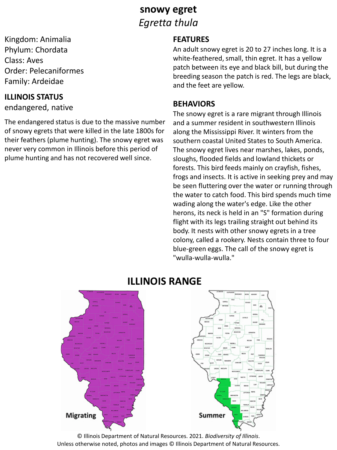# **snowy egret** *Egretta thula*

Kingdom: Animalia Phylum: Chordata Class: Aves Order: Pelecaniformes Family: Ardeidae

### **ILLINOIS STATUS**

endangered, native

The endangered status is due to the massive number of snowy egrets that were killed in the late 1800s for their feathers (plume hunting). The snowy egret was never very common in Illinois before this period of plume hunting and has not recovered well since.

### **FEATURES**

An adult snowy egret is 20 to 27 inches long. It is a white-feathered, small, thin egret. It has a yellow patch between its eye and black bill, but during the breeding season the patch is red. The legs are black, and the feet are yellow.

### **BEHAVIORS**

The snowy egret is a rare migrant through Illinois and a summer resident in southwestern Illinois along the Mississippi River. It winters from the southern coastal United States to South America. The snowy egret lives near marshes, lakes, ponds, sloughs, flooded fields and lowland thickets or forests. This bird feeds mainly on crayfish, fishes, frogs and insects. It is active in seeking prey and may be seen fluttering over the water or running through the water to catch food. This bird spends much time wading along the water's edge. Like the other herons, its neck is held in an "S" formation during flight with its legs trailing straight out behind its body. It nests with other snowy egrets in a tree colony, called a rookery. Nests contain three to four blue-green eggs. The call of the snowy egret is "wulla-wulla-wulla."



### **ILLINOIS RANGE**

© Illinois Department of Natural Resources. 2021. *Biodiversity of Illinois*. Unless otherwise noted, photos and images © Illinois Department of Natural Resources.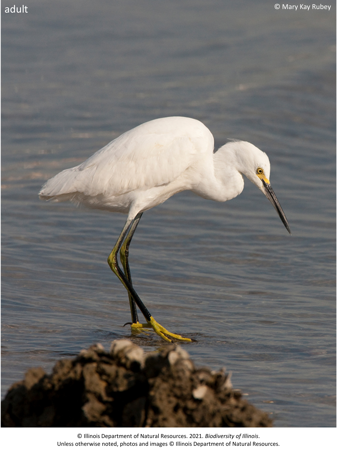

© Illinois Department of Natural Resources. 2021. *Biodiversity of Illinois*. Unless otherwise noted, photos and images © Illinois Department of Natural Resources.